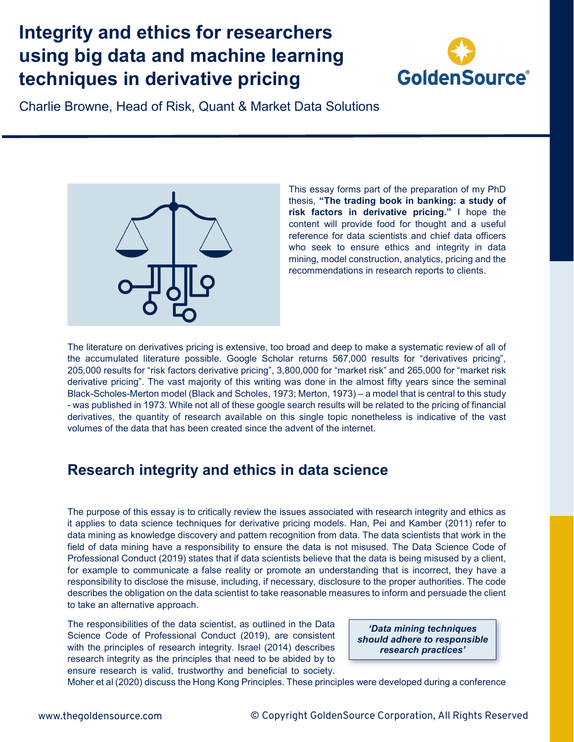## **Integrity and ethics for researchers using big data and machine learning techniques in derivative pricing**



Charlie Browne, Head of Risk, Quant & Market Data Solutions



This essay forms part of the preparation of my PhD thesis, **"The trading book in banking: a study of risk factors in derivative pricing."** I hope the content will provide food for thought and a useful reference for data scientists and chief data officers who seek to ensure ethics and integrity in data mining, model construction, analytics, pricing and the recommendations in research reports to clients.

The literature on derivatives pricing is extensive, too broad and deep to make a systematic review of all of the accumulated literature possible. Google Scholar returns 567,000 results for "derivatives pricing", 205,000 results for "risk factors derivative pricing", 3,800,000 for "market risk" and 265,000 for "market risk derivative pricing". The vast majority of this writing was done in the almost fifty years since the seminal Black-Scholes-Merton model (Black and Scholes, 1973; Merton, 1973) – a model that is central to this study - was published in 1973. While not all of these google search results will be related to the pricing of financial derivatives, the quantity of research available on this single topic nonetheless is indicative of the vast volumes of the data that has been created since the advent of the internet.

## **Research integrity and ethics in data science**

The purpose of this essay is to critically review the issues associated with research integrity and ethics as it applies to data science techniques for derivative pricing models. Han, Pei and Kamber (2011) refer to data mining as knowledge discovery and pattern recognition from data. The data scientists that work in the field of data mining have a responsibility to ensure the data is not misused. The Data Science Code of Professional Conduct (2019) states that if data scientists believe that the data is being misused by a client, for example to communicate a false reality or promote an understanding that is incorrect, they have a responsibility to disclose the misuse, including, if necessary, disclosure to the proper authorities. The code describes the obligation on the data scientist to take reasonable measures to inform and persuade the client to take an alternative approach.

The responsibilities of the data scientist, as outlined in the Data Science Code of Professional Conduct (2019), are consistent with the principles of research integrity. Israel (2014) describes research integrity as the principles that need to be abided by to ensure research is valid, trustworthy and beneficial to society.

*'Data mining techniques should adhere to responsible research practices'*

Moher et al (2020) discuss the Hong Kong Principles. These principles were developed during a conference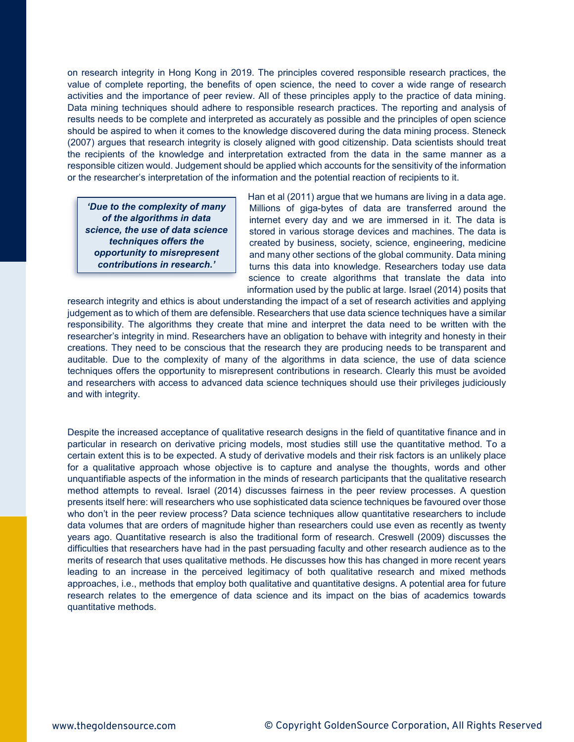on research integrity in Hong Kong in 2019. The principles covered responsible research practices, the value of complete reporting, the benefits of open science, the need to cover a wide range of research activities and the importance of peer review. All of these principles apply to the practice of data mining. Data mining techniques should adhere to responsible research practices. The reporting and analysis of results needs to be complete and interpreted as accurately as possible and the principles of open science should be aspired to when it comes to the knowledge discovered during the data mining process. Steneck (2007) argues that research integrity is closely aligned with good citizenship. Data scientists should treat the recipients of the knowledge and interpretation extracted from the data in the same manner as a responsible citizen would. Judgement should be applied which accounts for the sensitivity of the information or the researcher's interpretation of the information and the potential reaction of recipients to it.

*'Due to the complexity of many of the algorithms in data science, the use of data science techniques offers the opportunity to misrepresent contributions in research.'*

Han et al (2011) argue that we humans are living in a data age. Millions of giga-bytes of data are transferred around the internet every day and we are immersed in it. The data is stored in various storage devices and machines. The data is created by business, society, science, engineering, medicine and many other sections of the global community. Data mining turns this data into knowledge. Researchers today use data science to create algorithms that translate the data into information used by the public at large. Israel (2014) posits that

research integrity and ethics is about understanding the impact of a set of research activities and applying judgement as to which of them are defensible. Researchers that use data science techniques have a similar responsibility. The algorithms they create that mine and interpret the data need to be written with the researcher's integrity in mind. Researchers have an obligation to behave with integrity and honesty in their creations. They need to be conscious that the research they are producing needs to be transparent and auditable. Due to the complexity of many of the algorithms in data science, the use of data science techniques offers the opportunity to misrepresent contributions in research. Clearly this must be avoided and researchers with access to advanced data science techniques should use their privileges judiciously and with integrity.

Despite the increased acceptance of qualitative research designs in the field of quantitative finance and in particular in research on derivative pricing models, most studies still use the quantitative method. To a certain extent this is to be expected. A study of derivative models and their risk factors is an unlikely place for a qualitative approach whose objective is to capture and analyse the thoughts, words and other unquantifiable aspects of the information in the minds of research participants that the qualitative research method attempts to reveal. Israel (2014) discusses fairness in the peer review processes. A question presents itself here: will researchers who use sophisticated data science techniques be favoured over those who don't in the peer review process? Data science techniques allow quantitative researchers to include data volumes that are orders of magnitude higher than researchers could use even as recently as twenty years ago. Quantitative research is also the traditional form of research. Creswell (2009) discusses the difficulties that researchers have had in the past persuading faculty and other research audience as to the merits of research that uses qualitative methods. He discusses how this has changed in more recent years leading to an increase in the perceived legitimacy of both qualitative research and mixed methods approaches, i.e., methods that employ both qualitative and quantitative designs. A potential area for future research relates to the emergence of data science and its impact on the bias of academics towards quantitative methods.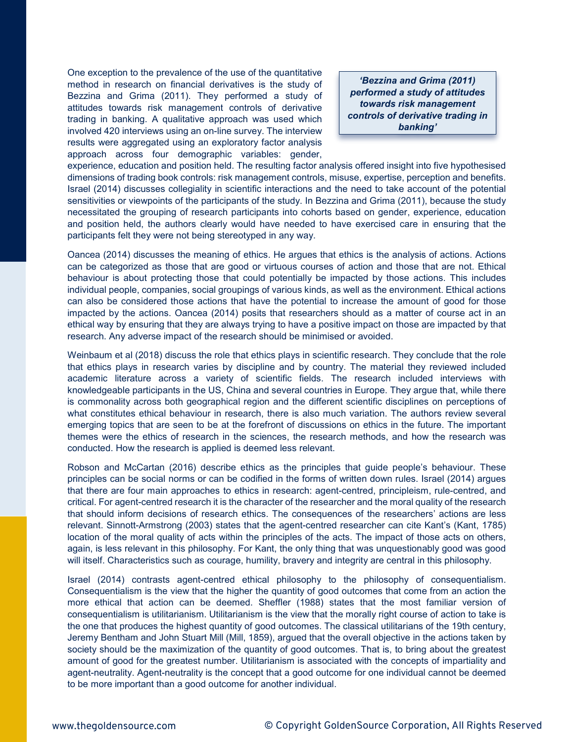One exception to the prevalence of the use of the quantitative method in research on financial derivatives is the study of Bezzina and Grima (2011). They performed a study of attitudes towards risk management controls of derivative trading in banking. A qualitative approach was used which involved 420 interviews using an on-line survey. The interview results were aggregated using an exploratory factor analysis approach across four demographic variables: gender,

*'Bezzina and Grima (2011) performed a study of attitudes towards risk management controls of derivative trading in banking'*

experience, education and position held. The resulting factor analysis offered insight into five hypothesised dimensions of trading book controls: risk management controls, misuse, expertise, perception and benefits. Israel (2014) discusses collegiality in scientific interactions and the need to take account of the potential sensitivities or viewpoints of the participants of the study. In Bezzina and Grima (2011), because the study necessitated the grouping of research participants into cohorts based on gender, experience, education and position held, the authors clearly would have needed to have exercised care in ensuring that the participants felt they were not being stereotyped in any way.

Oancea (2014) discusses the meaning of ethics. He argues that ethics is the analysis of actions. Actions can be categorized as those that are good or virtuous courses of action and those that are not. Ethical behaviour is about protecting those that could potentially be impacted by those actions. This includes individual people, companies, social groupings of various kinds, as well as the environment. Ethical actions can also be considered those actions that have the potential to increase the amount of good for those impacted by the actions. Oancea (2014) posits that researchers should as a matter of course act in an ethical way by ensuring that they are always trying to have a positive impact on those are impacted by that research. Any adverse impact of the research should be minimised or avoided.

Weinbaum et al (2018) discuss the role that ethics plays in scientific research. They conclude that the role that ethics plays in research varies by discipline and by country. The material they reviewed included academic literature across a variety of scientific fields. The research included interviews with knowledgeable participants in the US, China and several countries in Europe. They argue that, while there is commonality across both geographical region and the different scientific disciplines on perceptions of what constitutes ethical behaviour in research, there is also much variation. The authors review several emerging topics that are seen to be at the forefront of discussions on ethics in the future. The important themes were the ethics of research in the sciences, the research methods, and how the research was conducted. How the research is applied is deemed less relevant.

Robson and McCartan (2016) describe ethics as the principles that guide people's behaviour. These principles can be social norms or can be codified in the forms of written down rules. Israel (2014) argues that there are four main approaches to ethics in research: agent-centred, principleism, rule-centred, and critical. For agent-centred research it is the character of the researcher and the moral quality of the research that should inform decisions of research ethics. The consequences of the researchers' actions are less relevant. Sinnott-Armstrong (2003) states that the agent-centred researcher can cite Kant's (Kant, 1785) location of the moral quality of acts within the principles of the acts. The impact of those acts on others, again, is less relevant in this philosophy. For Kant, the only thing that was unquestionably good was good will itself. Characteristics such as courage, humility, bravery and integrity are central in this philosophy.

Israel (2014) contrasts agent-centred ethical philosophy to the philosophy of consequentialism. Consequentialism is the view that the higher the quantity of good outcomes that come from an action the more ethical that action can be deemed. Sheffler (1988) states that the most familiar version of consequentialism is utilitarianism. Utilitarianism is the view that the morally right course of action to take is the one that produces the highest quantity of good outcomes. The classical utilitarians of the 19th century, Jeremy Bentham and John Stuart Mill (Mill, 1859), argued that the overall objective in the actions taken by society should be the maximization of the quantity of good outcomes. That is, to bring about the greatest amount of good for the greatest number. Utilitarianism is associated with the concepts of impartiality and agent-neutrality. Agent-neutrality is the concept that a good outcome for one individual cannot be deemed to be more important than a good outcome for another individual.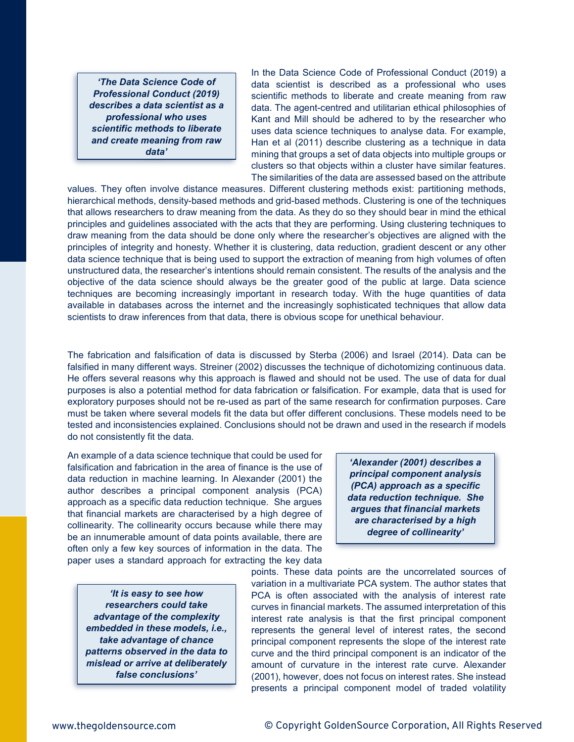*'The Data Science Code of Professional Conduct (2019) describes a data scientist as a professional who uses scientific methods to liberate and create meaning from raw data'*

In the Data Science Code of Professional Conduct (2019) a data scientist is described as a professional who uses scientific methods to liberate and create meaning from raw data. The agent-centred and utilitarian ethical philosophies of Kant and Mill should be adhered to by the researcher who uses data science techniques to analyse data. For example, Han et al (2011) describe clustering as a technique in data mining that groups a set of data objects into multiple groups or clusters so that objects within a cluster have similar features. The similarities of the data are assessed based on the attribute

values. They often involve distance measures. Different clustering methods exist: partitioning methods, hierarchical methods, density-based methods and grid-based methods. Clustering is one of the techniques that allows researchers to draw meaning from the data. As they do so they should bear in mind the ethical principles and guidelines associated with the acts that they are performing. Using clustering techniques to draw meaning from the data should be done only where the researcher's objectives are aligned with the principles of integrity and honesty. Whether it is clustering, data reduction, gradient descent or any other data science technique that is being used to support the extraction of meaning from high volumes of often unstructured data, the researcher's intentions should remain consistent. The results of the analysis and the objective of the data science should always be the greater good of the public at large. Data science techniques are becoming increasingly important in research today. With the huge quantities of data available in databases across the internet and the increasingly sophisticated techniques that allow data scientists to draw inferences from that data, there is obvious scope for unethical behaviour.

The fabrication and falsification of data is discussed by Sterba (2006) and Israel (2014). Data can be falsified in many different ways. Streiner (2002) discusses the technique of dichotomizing continuous data. He offers several reasons why this approach is flawed and should not be used. The use of data for dual purposes is also a potential method for data fabrication or falsification. For example, data that is used for exploratory purposes should not be re-used as part of the same research for confirmation purposes. Care must be taken where several models fit the data but offer different conclusions. These models need to be tested and inconsistencies explained. Conclusions should not be drawn and used in the research if models do not consistently fit the data.

An example of a data science technique that could be used for falsification and fabrication in the area of finance is the use of data reduction in machine learning. In Alexander (2001) the author describes a principal component analysis (PCA) approach as a specific data reduction technique. She argues that financial markets are characterised by a high degree of collinearity. The collinearity occurs because while there may be an innumerable amount of data points available, there are often only a few key sources of information in the data. The paper uses a standard approach for extracting the key data

*'It is easy to see how researchers could take advantage of the complexity embedded in these models, i.e., take advantage of chance patterns observed in the data to mislead or arrive at deliberately false conclusions'*

*'Alexander (2001) describes a principal component analysis (PCA) approach as a specific data reduction technique. She argues that financial markets are characterised by a high degree of collinearity'*

points. These data points are the uncorrelated sources of variation in a multivariate PCA system. The author states that PCA is often associated with the analysis of interest rate curves in financial markets. The assumed interpretation of this interest rate analysis is that the first principal component represents the general level of interest rates, the second principal component represents the slope of the interest rate curve and the third principal component is an indicator of the amount of curvature in the interest rate curve. Alexander (2001), however, does not focus on interest rates. She instead presents a principal component model of traded volatility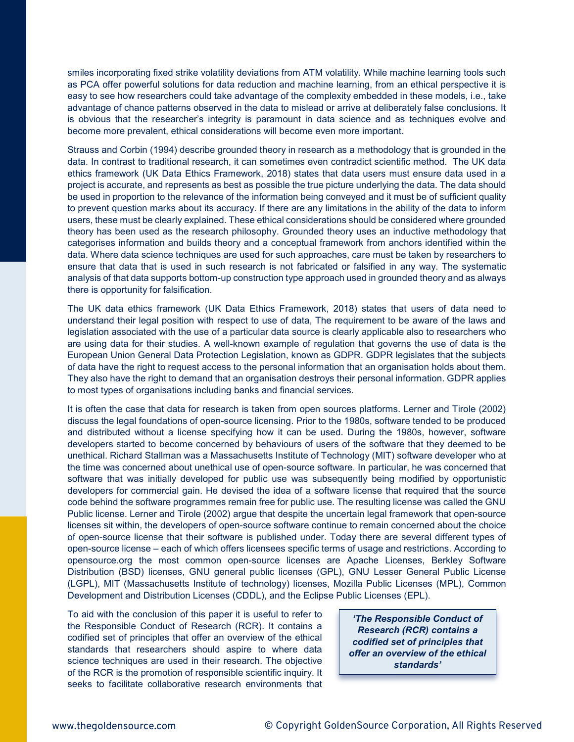smiles incorporating fixed strike volatility deviations from ATM volatility. While machine learning tools such as PCA offer powerful solutions for data reduction and machine learning, from an ethical perspective it is easy to see how researchers could take advantage of the complexity embedded in these models, i.e., take advantage of chance patterns observed in the data to mislead or arrive at deliberately false conclusions. It is obvious that the researcher's integrity is paramount in data science and as techniques evolve and become more prevalent, ethical considerations will become even more important.

Strauss and Corbin (1994) describe grounded theory in research as a methodology that is grounded in the data. In contrast to traditional research, it can sometimes even contradict scientific method. The UK data ethics framework (UK Data Ethics Framework, 2018) states that data users must ensure data used in a project is accurate, and represents as best as possible the true picture underlying the data. The data should be used in proportion to the relevance of the information being conveyed and it must be of sufficient quality to prevent question marks about its accuracy. If there are any limitations in the ability of the data to inform users, these must be clearly explained. These ethical considerations should be considered where grounded theory has been used as the research philosophy. Grounded theory uses an inductive methodology that categorises information and builds theory and a conceptual framework from anchors identified within the data. Where data science techniques are used for such approaches, care must be taken by researchers to ensure that data that is used in such research is not fabricated or falsified in any way. The systematic analysis of that data supports bottom-up construction type approach used in grounded theory and as always there is opportunity for falsification.

The UK data ethics framework (UK Data Ethics Framework, 2018) states that users of data need to understand their legal position with respect to use of data, The requirement to be aware of the laws and legislation associated with the use of a particular data source is clearly applicable also to researchers who are using data for their studies. A well-known example of regulation that governs the use of data is the European Union General Data Protection Legislation, known as GDPR. GDPR legislates that the subjects of data have the right to request access to the personal information that an organisation holds about them. They also have the right to demand that an organisation destroys their personal information. GDPR applies to most types of organisations including banks and financial services.

It is often the case that data for research is taken from open sources platforms. Lerner and Tirole (2002) discuss the legal foundations of open-source licensing. Prior to the 1980s, software tended to be produced and distributed without a license specifying how it can be used. During the 1980s, however, software developers started to become concerned by behaviours of users of the software that they deemed to be unethical. Richard Stallman was a Massachusetts Institute of Technology (MIT) software developer who at the time was concerned about unethical use of open-source software. In particular, he was concerned that software that was initially developed for public use was subsequently being modified by opportunistic developers for commercial gain. He devised the idea of a software license that required that the source code behind the software programmes remain free for public use. The resulting license was called the GNU Public license. Lerner and Tirole (2002) argue that despite the uncertain legal framework that open-source licenses sit within, the developers of open-source software continue to remain concerned about the choice of open-source license that their software is published under. Today there are several different types of open-source license – each of which offers licensees specific terms of usage and restrictions. According to opensource.org the most common open-source licenses are Apache Licenses, Berkley Software Distribution (BSD) licenses, GNU general public licenses (GPL), GNU Lesser General Public License (LGPL), MIT (Massachusetts Institute of technology) licenses, Mozilla Public Licenses (MPL), Common Development and Distribution Licenses (CDDL), and the Eclipse Public Licenses (EPL).

To aid with the conclusion of this paper it is useful to refer to the Responsible Conduct of Research (RCR). It contains a codified set of principles that offer an overview of the ethical standards that researchers should aspire to where data science techniques are used in their research. The objective of the RCR is the promotion of responsible scientific inquiry. It seeks to facilitate collaborative research environments that

*'The Responsible Conduct of Research (RCR) contains a codified set of principles that offer an overview of the ethical standards'*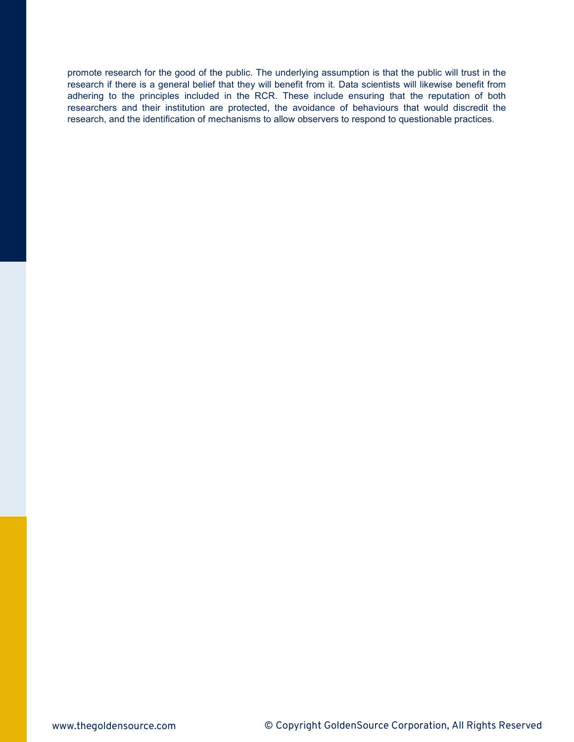promote research for the good of the public. The underlying assumption is that the public will trust in the research if there is a general belief that they will benefit from it. Data scientists will likewise benefit from adhering to the principles included in the RCR. These include ensuring that the reputation of both researchers and their institution are protected, the avoidance of behaviours that would discredit the research, and the identification of mechanisms to allow observers to respond to questionable practices.